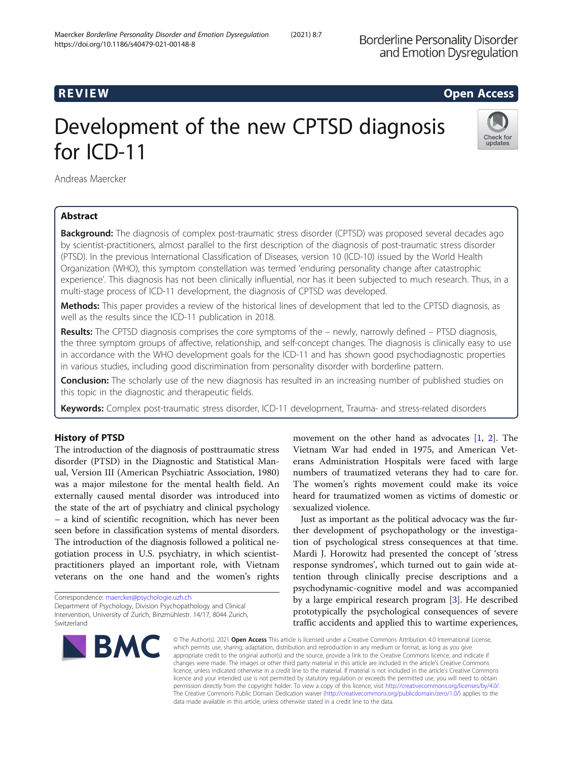# R EVI EW Open Access

# Development of the new CPTSD diagnosis for ICD-11



Andreas Maercker

# Abstract

**Background:** The diagnosis of complex post-traumatic stress disorder (CPTSD) was proposed several decades ago by scientist-practitioners, almost parallel to the first description of the diagnosis of post-traumatic stress disorder (PTSD). In the previous International Classification of Diseases, version 10 (ICD-10) issued by the World Health Organization (WHO), this symptom constellation was termed 'enduring personality change after catastrophic experience'. This diagnosis has not been clinically influential, nor has it been subjected to much research. Thus, in a multi-stage process of ICD-11 development, the diagnosis of CPTSD was developed.

Methods: This paper provides a review of the historical lines of development that led to the CPTSD diagnosis, as well as the results since the ICD-11 publication in 2018.

Results: The CPTSD diagnosis comprises the core symptoms of the – newly, narrowly defined – PTSD diagnosis, the three symptom groups of affective, relationship, and self-concept changes. The diagnosis is clinically easy to use in accordance with the WHO development goals for the ICD-11 and has shown good psychodiagnostic properties in various studies, including good discrimination from personality disorder with borderline pattern.

**Conclusion:** The scholarly use of the new diagnosis has resulted in an increasing number of published studies on this topic in the diagnostic and therapeutic fields.

Keywords: Complex post-traumatic stress disorder, ICD-11 development, Trauma- and stress-related disorders

# History of PTSD

The introduction of the diagnosis of posttraumatic stress disorder (PTSD) in the Diagnostic and Statistical Manual, Version III (American Psychiatric Association, 1980) was a major milestone for the mental health field. An externally caused mental disorder was introduced into the state of the art of psychiatry and clinical psychology – a kind of scientific recognition, which has never been seen before in classification systems of mental disorders. The introduction of the diagnosis followed a political negotiation process in U.S. psychiatry, in which scientistpractitioners played an important role, with Vietnam veterans on the one hand and the women's rights

Correspondence: [maercker@psychologie.uzh.ch](mailto:maercker@psychologie.uzh.ch) Department of Psychology, Division Psychopathology and Clinical Intervention, University of Zurich, Binzmühlestr. 14/17, 8044 Zurich, Switzerland



movement on the other hand as advocates  $[1, 2]$  $[1, 2]$  $[1, 2]$  $[1, 2]$  $[1, 2]$ . The Vietnam War had ended in 1975, and American Veterans Administration Hospitals were faced with large numbers of traumatized veterans they had to care for. The women's rights movement could make its voice heard for traumatized women as victims of domestic or sexualized violence.

Just as important as the political advocacy was the further development of psychopathology or the investigation of psychological stress consequences at that time. Mardi J. Horowitz had presented the concept of 'stress response syndromes', which turned out to gain wide attention through clinically precise descriptions and a psychodynamic-cognitive model and was accompanied by a large empirical research program [\[3](#page-2-0)]. He described prototypically the psychological consequences of severe traffic accidents and applied this to wartime experiences,

© The Author(s), 2021 **Open Access** This article is licensed under a Creative Commons Attribution 4.0 International License, which permits use, sharing, adaptation, distribution and reproduction in any medium or format, as long as you give appropriate credit to the original author(s) and the source, provide a link to the Creative Commons licence, and indicate if changes were made. The images or other third party material in this article are included in the article's Creative Commons licence, unless indicated otherwise in a credit line to the material. If material is not included in the article's Creative Commons licence and your intended use is not permitted by statutory regulation or exceeds the permitted use, you will need to obtain permission directly from the copyright holder. To view a copy of this licence, visit [http://creativecommons.org/licenses/by/4.0/.](http://creativecommons.org/licenses/by/4.0/) The Creative Commons Public Domain Dedication waiver [\(http://creativecommons.org/publicdomain/zero/1.0/](http://creativecommons.org/publicdomain/zero/1.0/)) applies to the data made available in this article, unless otherwise stated in a credit line to the data.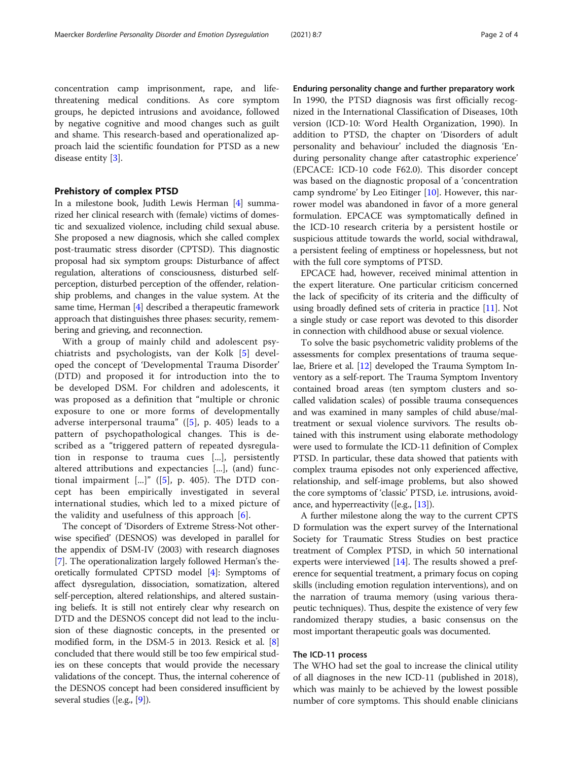concentration camp imprisonment, rape, and lifethreatening medical conditions. As core symptom groups, he depicted intrusions and avoidance, followed by negative cognitive and mood changes such as guilt and shame. This research-based and operationalized approach laid the scientific foundation for PTSD as a new disease entity [\[3](#page-2-0)].

## Prehistory of complex PTSD

In a milestone book, Judith Lewis Herman [\[4\]](#page-3-0) summarized her clinical research with (female) victims of domestic and sexualized violence, including child sexual abuse. She proposed a new diagnosis, which she called complex post-traumatic stress disorder (CPTSD). This diagnostic proposal had six symptom groups: Disturbance of affect regulation, alterations of consciousness, disturbed selfperception, disturbed perception of the offender, relationship problems, and changes in the value system. At the same time, Herman [\[4](#page-3-0)] described a therapeutic framework approach that distinguishes three phases: security, remembering and grieving, and reconnection.

With a group of mainly child and adolescent psychiatrists and psychologists, van der Kolk [[5\]](#page-3-0) developed the concept of 'Developmental Trauma Disorder' (DTD) and proposed it for introduction into the to be developed DSM. For children and adolescents, it was proposed as a definition that "multiple or chronic exposure to one or more forms of developmentally adverse interpersonal trauma" ( $[5]$  $[5]$ , p. 405) leads to a pattern of psychopathological changes. This is described as a "triggered pattern of repeated dysregulation in response to trauma cues [...], persistently altered attributions and expectancies [...], (and) functional impairment  $\lbrack ... \rbrack$ " ([[5\]](#page-3-0), p. 405). The DTD concept has been empirically investigated in several international studies, which led to a mixed picture of the validity and usefulness of this approach  $[6]$  $[6]$ .

The concept of 'Disorders of Extreme Stress-Not otherwise specified' (DESNOS) was developed in parallel for the appendix of DSM-IV (2003) with research diagnoses [[7\]](#page-3-0). The operationalization largely followed Herman's theoretically formulated CPTSD model [[4\]](#page-3-0): Symptoms of affect dysregulation, dissociation, somatization, altered self-perception, altered relationships, and altered sustaining beliefs. It is still not entirely clear why research on DTD and the DESNOS concept did not lead to the inclusion of these diagnostic concepts, in the presented or modified form, in the DSM-5 in 2013. Resick et al. [[8](#page-3-0)] concluded that there would still be too few empirical studies on these concepts that would provide the necessary validations of the concept. Thus, the internal coherence of the DESNOS concept had been considered insufficient by several studies ([e.g., [[9](#page-3-0)]).

Enduring personality change and further preparatory work In 1990, the PTSD diagnosis was first officially recognized in the International Classification of Diseases, 10th version (ICD-10: Word Health Organization, 1990). In addition to PTSD, the chapter on 'Disorders of adult personality and behaviour' included the diagnosis 'Enduring personality change after catastrophic experience' (EPCACE: ICD-10 code F62.0). This disorder concept was based on the diagnostic proposal of a 'concentration camp syndrome' by Leo Eitinger [[10\]](#page-3-0). However, this narrower model was abandoned in favor of a more general formulation. EPCACE was symptomatically defined in the ICD-10 research criteria by a persistent hostile or suspicious attitude towards the world, social withdrawal, a persistent feeling of emptiness or hopelessness, but not with the full core symptoms of PTSD.

EPCACE had, however, received minimal attention in the expert literature. One particular criticism concerned the lack of specificity of its criteria and the difficulty of using broadly defined sets of criteria in practice [\[11\]](#page-3-0). Not a single study or case report was devoted to this disorder in connection with childhood abuse or sexual violence.

To solve the basic psychometric validity problems of the assessments for complex presentations of trauma sequelae, Briere et al. [\[12\]](#page-3-0) developed the Trauma Symptom Inventory as a self-report. The Trauma Symptom Inventory contained broad areas (ten symptom clusters and socalled validation scales) of possible trauma consequences and was examined in many samples of child abuse/maltreatment or sexual violence survivors. The results obtained with this instrument using elaborate methodology were used to formulate the ICD-11 definition of Complex PTSD. In particular, these data showed that patients with complex trauma episodes not only experienced affective, relationship, and self-image problems, but also showed the core symptoms of 'classic' PTSD, i.e. intrusions, avoidance, and hyperreactivity ([e.g.,  $[13]$  $[13]$  $[13]$ ).

A further milestone along the way to the current CPTS D formulation was the expert survey of the International Society for Traumatic Stress Studies on best practice treatment of Complex PTSD, in which 50 international experts were interviewed [[14](#page-3-0)]. The results showed a preference for sequential treatment, a primary focus on coping skills (including emotion regulation interventions), and on the narration of trauma memory (using various therapeutic techniques). Thus, despite the existence of very few randomized therapy studies, a basic consensus on the most important therapeutic goals was documented.

## The ICD-11 process

The WHO had set the goal to increase the clinical utility of all diagnoses in the new ICD-11 (published in 2018), which was mainly to be achieved by the lowest possible number of core symptoms. This should enable clinicians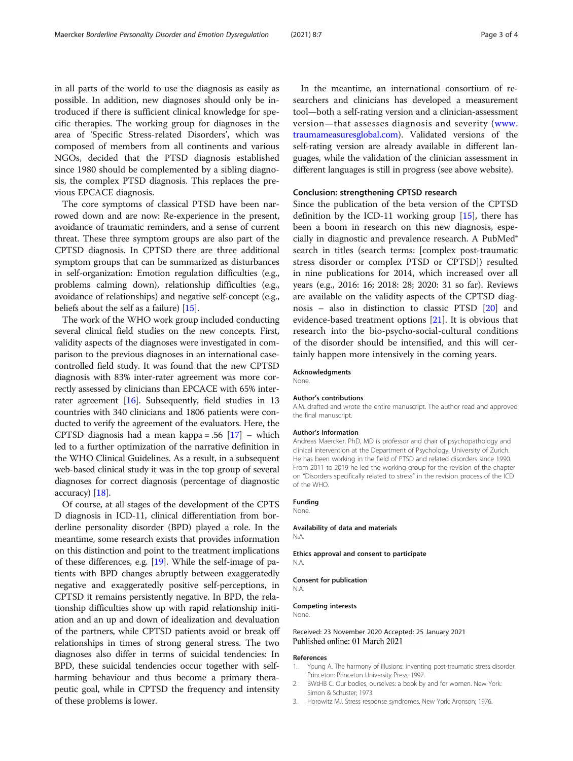<span id="page-2-0"></span>in all parts of the world to use the diagnosis as easily as possible. In addition, new diagnoses should only be introduced if there is sufficient clinical knowledge for specific therapies. The working group for diagnoses in the area of 'Specific Stress-related Disorders', which was composed of members from all continents and various NGOs, decided that the PTSD diagnosis established since 1980 should be complemented by a sibling diagnosis, the complex PTSD diagnosis. This replaces the previous EPCACE diagnosis.

The core symptoms of classical PTSD have been narrowed down and are now: Re-experience in the present, avoidance of traumatic reminders, and a sense of current threat. These three symptom groups are also part of the CPTSD diagnosis. In CPTSD there are three additional symptom groups that can be summarized as disturbances in self-organization: Emotion regulation difficulties (e.g., problems calming down), relationship difficulties (e.g., avoidance of relationships) and negative self-concept (e.g., beliefs about the self as a failure) [\[15\]](#page-3-0).

The work of the WHO work group included conducting several clinical field studies on the new concepts. First, validity aspects of the diagnoses were investigated in comparison to the previous diagnoses in an international casecontrolled field study. It was found that the new CPTSD diagnosis with 83% inter-rater agreement was more correctly assessed by clinicians than EPCACE with 65% interrater agreement [\[16](#page-3-0)]. Subsequently, field studies in 13 countries with 340 clinicians and 1806 patients were conducted to verify the agreement of the evaluators. Here, the CPTSD diagnosis had a mean kappa = .56  $[17]$  – which led to a further optimization of the narrative definition in the WHO Clinical Guidelines. As a result, in a subsequent web-based clinical study it was in the top group of several diagnoses for correct diagnosis (percentage of diagnostic accuracy) [\[18\]](#page-3-0).

Of course, at all stages of the development of the CPTS D diagnosis in ICD-11, clinical differentiation from borderline personality disorder (BPD) played a role. In the meantime, some research exists that provides information on this distinction and point to the treatment implications of these differences, e.g. [\[19\]](#page-3-0). While the self-image of patients with BPD changes abruptly between exaggeratedly negative and exaggeratedly positive self-perceptions, in CPTSD it remains persistently negative. In BPD, the relationship difficulties show up with rapid relationship initiation and an up and down of idealization and devaluation of the partners, while CPTSD patients avoid or break off relationships in times of strong general stress. The two diagnoses also differ in terms of suicidal tendencies: In BPD, these suicidal tendencies occur together with selfharming behaviour and thus become a primary therapeutic goal, while in CPTSD the frequency and intensity of these problems is lower.

In the meantime, an international consortium of researchers and clinicians has developed a measurement tool—both a self-rating version and a clinician-assessment version—that assesses diagnosis and severity ([www.](http://www.traumameasuresglobal.com) [traumameasuresglobal.com\)](http://www.traumameasuresglobal.com). Validated versions of the self-rating version are already available in different languages, while the validation of the clinician assessment in different languages is still in progress (see above website).

## Conclusion: strengthening CPTSD research

Since the publication of the beta version of the CPTSD definition by the ICD-11 working group  $[15]$ , there has been a boom in research on this new diagnosis, especially in diagnostic and prevalence research. A PubMed® search in titles (search terms: [complex post-traumatic stress disorder or complex PTSD or CPTSD]) resulted in nine publications for 2014, which increased over all years (e.g., 2016: 16; 2018: 28; 2020: 31 so far). Reviews are available on the validity aspects of the CPTSD diagnosis – also in distinction to classic PTSD [[20\]](#page-3-0) and evidence-based treatment options [[21\]](#page-3-0). It is obvious that research into the bio-psycho-social-cultural conditions of the disorder should be intensified, and this will certainly happen more intensively in the coming years.

## Acknowledgments

None.

#### Author's contributions

A.M. drafted and wrote the entire manuscript. The author read and approved the final manuscript.

#### Author's information

Andreas Maercker, PhD, MD is professor and chair of psychopathology and clinical intervention at the Department of Psychology, University of Zurich. He has been working in the field of PTSD and related disorders since 1990. From 2011 to 2019 he led the working group for the revision of the chapter on "Disorders specifically related to stress" in the revision process of the ICD of the WHO.

### Funding

None.

# Availability of data and materials

N.A.

### Ethics approval and consent to participate

N.A.

#### Consent for publication

N.A.

#### Competing interests

None.

## Received: 23 November 2020 Accepted: 25 January 2021 Published online: 01 March 2021

#### References

- 1. Young A. The harmony of illusions: inventing post-traumatic stress disorder. Princeton: Princeton University Press; 1997.
- 2. BWsHB C. Our bodies, ourselves: a book by and for women. New York: Simon & Schuster; 1973.
- 3. Horowitz MJ. Stress response syndromes. New York: Aronson; 1976.